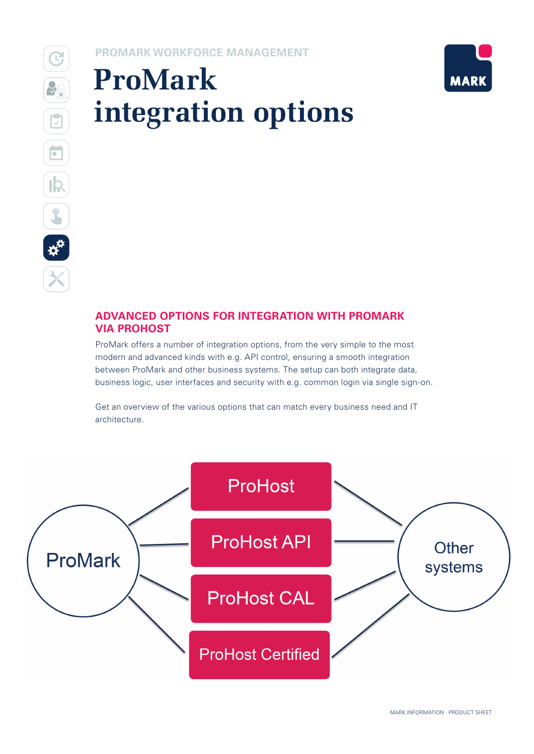## **PROMARK WORKFORCE MANAGEMENT**

# **ProMark integration options**



## **ADVANCED OPTIONS FOR INTEGRATION WITH PROMARK VIA PROHOST**

ProMark offers a number of integration options, from the very simple to the most modern and advanced kinds with e.g. API control, ensuring a smooth integration between ProMark and other business systems. The setup can both integrate data, business logic, user interfaces and security with e.g. common login via single sign-on.

Get an overview of the various options that can match every business need and IT architecture.

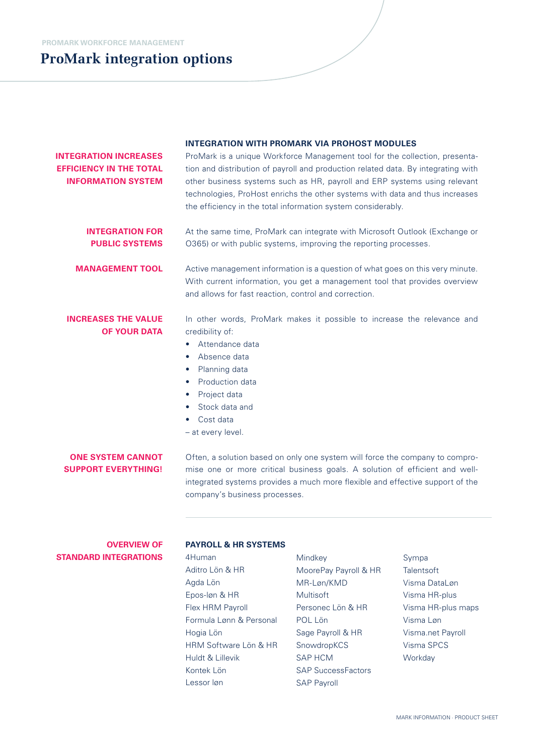|                                                                                             | <b>INTEGRATION WITH PROMARK VIA PROHOST MODULES</b><br>ProMark is a unique Workforce Management tool for the collection, presenta-<br>tion and distribution of payroll and production related data. By integrating with<br>other business systems such as HR, payroll and ERP systems using relevant<br>technologies, ProHost enrichs the other systems with data and thus increases<br>the efficiency in the total information system considerably. |  |  |
|---------------------------------------------------------------------------------------------|------------------------------------------------------------------------------------------------------------------------------------------------------------------------------------------------------------------------------------------------------------------------------------------------------------------------------------------------------------------------------------------------------------------------------------------------------|--|--|
| <b>INTEGRATION INCREASES</b><br><b>EFFICIENCY IN THE TOTAL</b><br><b>INFORMATION SYSTEM</b> |                                                                                                                                                                                                                                                                                                                                                                                                                                                      |  |  |
| <b>INTEGRATION FOR</b><br><b>PUBLIC SYSTEMS</b>                                             | At the same time, ProMark can integrate with Microsoft Outlook (Exchange or<br>O365) or with public systems, improving the reporting processes.                                                                                                                                                                                                                                                                                                      |  |  |
| <b>MANAGEMENT TOOL</b>                                                                      | Active management information is a question of what goes on this very minute.<br>With current information, you get a management tool that provides overview<br>and allows for fast reaction, control and correction.                                                                                                                                                                                                                                 |  |  |
| <b>INCREASES THE VALUE</b><br><b>OF YOUR DATA</b>                                           | In other words, ProMark makes it possible to increase the relevance and<br>credibility of:<br>Attendance data<br>Absence data<br>٠<br>Planning data<br>$\bullet$<br>Production data<br>Project data<br>Stock data and<br>Cost data<br>- at every level.                                                                                                                                                                                              |  |  |
| <b>ONE SYSTEM CANNOT</b><br><b>SUPPORT EVERYTHING!</b>                                      | Often, a solution based on only one system will force the company to compro-<br>mise one or more critical business goals. A solution of efficient and well-<br>integrated systems provides a much more flexible and effective support of the<br>company's business processes.                                                                                                                                                                        |  |  |
|                                                                                             |                                                                                                                                                                                                                                                                                                                                                                                                                                                      |  |  |

## **OVERVIEW OF STANDARD INTEGRATIONS**

#### **PAYROLL & HR SYSTEMS**

4Human Aditro Lön & HR Agda Lön Epos-løn & HR Flex HRM Payroll Formula Lønn & Personal Hogia Lön HRM Software Lön & HR Huldt & Lillevik Kontek Lön Lessor løn

Mindkey MoorePay Payroll & HR MR-Løn/KMD Multisoft Personec Lön & HR POL Lön Sage Payroll & HR SnowdropKCS SAP HCM SAP SuccessFactors SAP Payroll

Sympa **Talentsoft** Visma DataLøn Visma HR-plus Visma HR-plus maps Visma Løn Visma.net Payroll Visma SPCS **Workday**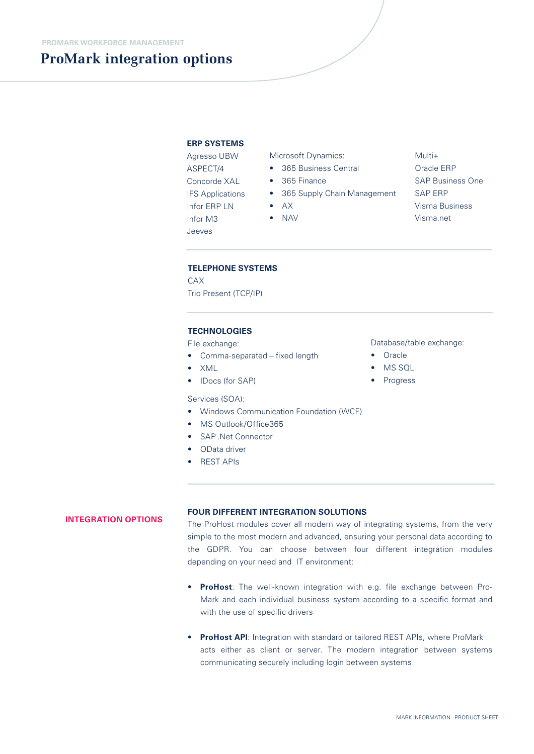#### **ERP SYSTEMS**

Agresso UBW ASPECT/4 Concorde XAL IFS Applications Infor ERP LN Infor M3 Jeeves

Microsoft Dynamics:

- 365 Business Central
- 365 Finance
- 365 Supply Chain Management
- AX
- NAV

Multi+ Oracle ERP SAP Business One SAP ERP Visma Business Visma.net

#### **TELEPHONE SYSTEMS**

CAY Trio Present (TCP/IP)

#### **TECHNOLOGIES**

File exchange:

- Comma-separated fixed length
- XML
- IDocs (for SAP)

#### Services (SOA):

- Windows Communication Foundation (WCF)
- MS Outlook/Office365
- SAP .Net Connector
- OData driver
- REST APIs

#### Database/table exchange:

- Oracle
- MS SQL
- Progress

## **INTEGRATION OPTIONS**

#### **FOUR DIFFERENT INTEGRATION SOLUTIONS**

The ProHost modules cover all modern way of integrating systems, from the very simple to the most modern and advanced, ensuring your personal data according to the GDPR. You can choose between four different integration modules depending on your need and IT environment:

- **ProHost**: The well-known integration with e.g. file exchange between Pro-Mark and each individual business system according to a specific format and with the use of specific drivers
- **ProHost API**: Integration with standard or tailored REST APIs, where ProMark acts either as client or server. The modern integration between systems communicating securely including login between systems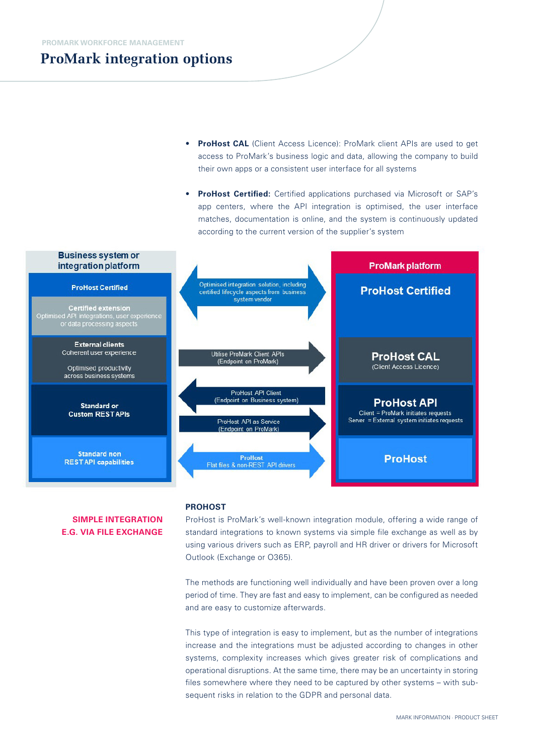- **ProHost CAL** (Client Access Licence): ProMark client APIs are used to get access to ProMark's business logic and data, allowing the company to build their own apps or a consistent user interface for all systems
- **ProHost Certified:** Certified applications purchased via Microsoft or SAP's app centers, where the API integration is optimised, the user interface matches, documentation is online, and the system is continuously updated according to the current version of the supplier's system



## **SIMPLE INTEGRATION E.G. VIA FILE EXCHANGE**

#### **PROHOST**

ProHost is ProMark's well-known integration module, offering a wide range of standard integrations to known systems via simple file exchange as well as by using various drivers such as ERP, payroll and HR driver or drivers for Microsoft Outlook (Exchange or O365).

The methods are functioning well individually and have been proven over a long period of time. They are fast and easy to implement, can be configured as needed and are easy to customize afterwards.

This type of integration is easy to implement, but as the number of integrations increase and the integrations must be adjusted according to changes in other systems, complexity increases which gives greater risk of complications and operational disruptions. At the same time, there may be an uncertainty in storing files somewhere where they need to be captured by other systems – with subsequent risks in relation to the GDPR and personal data.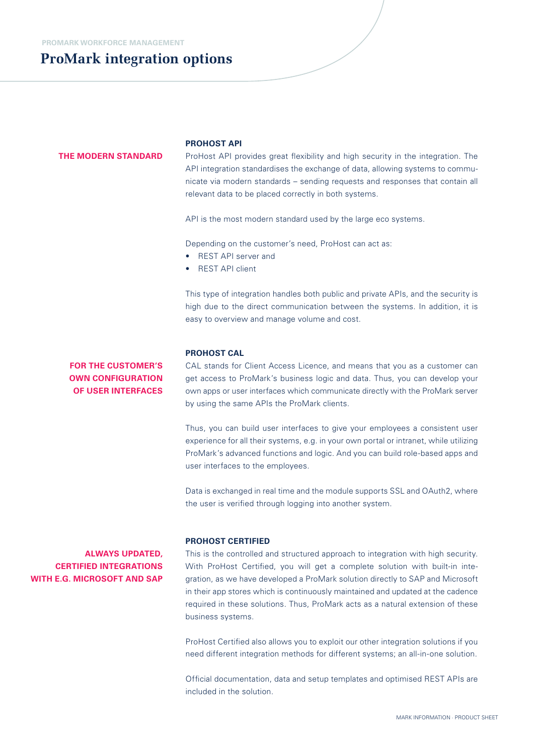#### **THE MODERN STANDARD**

#### **PROHOST API**

ProHost API provides great flexibility and high security in the integration. The API integration standardises the exchange of data, allowing systems to communicate via modern standards – sending requests and responses that contain all relevant data to be placed correctly in both systems.

API is the most modern standard used by the large eco systems.

Depending on the customer's need, ProHost can act as:

- REST API server and
- **REST API client**

This type of integration handles both public and private APIs, and the security is high due to the direct communication between the systems. In addition, it is easy to overview and manage volume and cost.

## **PROHOST CAL**

**FOR THE CUSTOMER'S OWN CONFIGURATION OF USER INTERFACES**

CAL stands for Client Access Licence, and means that you as a customer can get access to ProMark's business logic and data. Thus, you can develop your own apps or user interfaces which communicate directly with the ProMark server by using the same APIs the ProMark clients.

Thus, you can build user interfaces to give your employees a consistent user experience for all their systems, e.g. in your own portal or intranet, while utilizing ProMark's advanced functions and logic. And you can build role-based apps and user interfaces to the employees.

Data is exchanged in real time and the module supports SSL and OAuth2, where the user is verified through logging into another system.

## **ALWAYS UPDATED, CERTIFIED INTEGRATIONS WITH E.G. MICROSOFT AND SAP**

#### **PROHOST CERTIFIED**

This is the controlled and structured approach to integration with high security. With ProHost Certified, you will get a complete solution with built-in integration, as we have developed a ProMark solution directly to SAP and Microsoft in their app stores which is continuously maintained and updated at the cadence required in these solutions. Thus, ProMark acts as a natural extension of these business systems.

ProHost Certified also allows you to exploit our other integration solutions if you need different integration methods for different systems; an all-in-one solution.

Official documentation, data and setup templates and optimised REST APIs are included in the solution.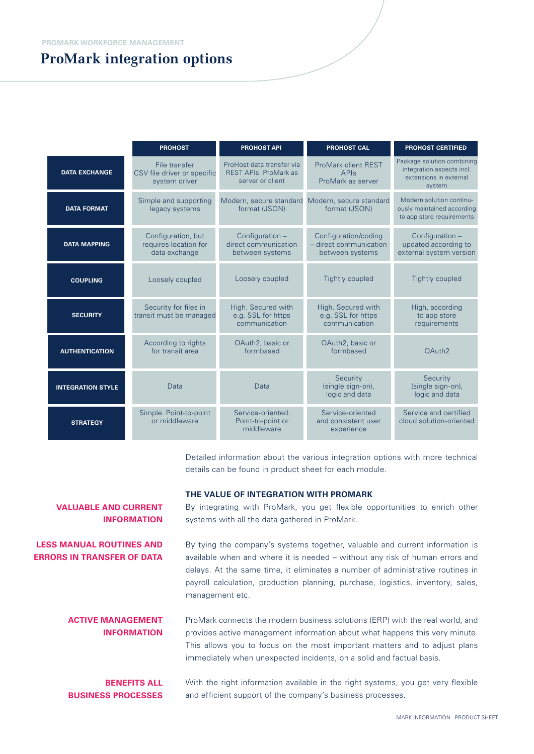|                          | <b>PROHOST</b>                                                | <b>PROHOST API</b>                                                            | <b>PROHOST CAL</b>                                                | <b>PROHOST CERTIFIED</b>                                                                    |
|--------------------------|---------------------------------------------------------------|-------------------------------------------------------------------------------|-------------------------------------------------------------------|---------------------------------------------------------------------------------------------|
| <b>DATA EXCHANGE</b>     | File transfer<br>CSV file driver or specific<br>system driver | ProHost data transfer via<br><b>REST APIs. ProMark as</b><br>server or client | <b>ProMark client REST</b><br><b>APIS</b><br>ProMark as server    | Package solution combining<br>integration aspects incl.<br>extensions in external<br>system |
| <b>DATA FORMAT</b>       | Simple and supporting<br>legacy systems                       | Modern, secure standard<br>format (JSON)                                      | Modern, secure standard<br>format (JSON)                          | Modern solution continu-<br>ously maintained according<br>to app store requirements         |
| <b>DATA MAPPING</b>      | Configuration, but<br>requires location for<br>data exchange  | Configuration -<br>direct communication<br>between systems                    | Configuration/coding<br>- direct communication<br>between systems | Configuration -<br>updated according to<br>external system version                          |
| <b>COUPLING</b>          | Loosely coupled                                               | Loosely coupled                                                               | <b>Tightly coupled</b>                                            | <b>Tightly coupled</b>                                                                      |
| <b>SECURITY</b>          | Security for files in<br>transit must be managed              | High. Secured with<br>e.g. SSL for https<br>communication                     | High. Secured with<br>e.g. SSL for https<br>communication         | High, according<br>to app store<br>requirements                                             |
| <b>AUTHENTICATION</b>    | According to rights<br>for transit area                       | OAuth2, basic or<br>formbased                                                 | OAuth2, basic or<br>formbased                                     | OAuth <sub>2</sub>                                                                          |
| <b>INTEGRATION STYLE</b> | Data                                                          | Data                                                                          | Security<br>(single sign-on),<br>logic and data                   | Security<br>(single sign-on),<br>logic and data                                             |
| <b>STRATEGY</b>          | Simple. Point-to-point<br>or middleware                       | Service-oriented.<br>Point-to-point or<br>middleware                          | Service-oriented<br>and consistent user<br>experience             | Service and certified<br>cloud solution-oriented                                            |

Detailed information about the various integration options with more technical details can be found in product sheet for each module.

#### **THE VALUE OF INTEGRATION WITH PROMARK**

By integrating with ProMark, you get flexible opportunities to enrich other systems with all the data gathered in ProMark.

By tying the company's systems together, valuable and current information is available when and where it is needed – without any risk of human errors and delays. At the same time, it eliminates a number of administrative routines in payroll calculation, production planning, purchase, logistics, inventory, sales, management etc.

ProMark connects the modern business solutions (ERP) with the real world, and provides active management information about what happens this very minute. This allows you to focus on the most important matters and to adjust plans immediately when unexpected incidents, on a solid and factual basis. **ACTIVE MANAGEMENT INFORMATION**

## **BENEFITS ALL BUSINESS PROCESSES**

**VALUABLE AND CURRENT** 

**LESS MANUAL ROUTINES AND ERRORS IN TRANSFER OF DATA**

**INFORMATION** 

With the right information available in the right systems, you get very flexible and efficient support of the company's business processes.